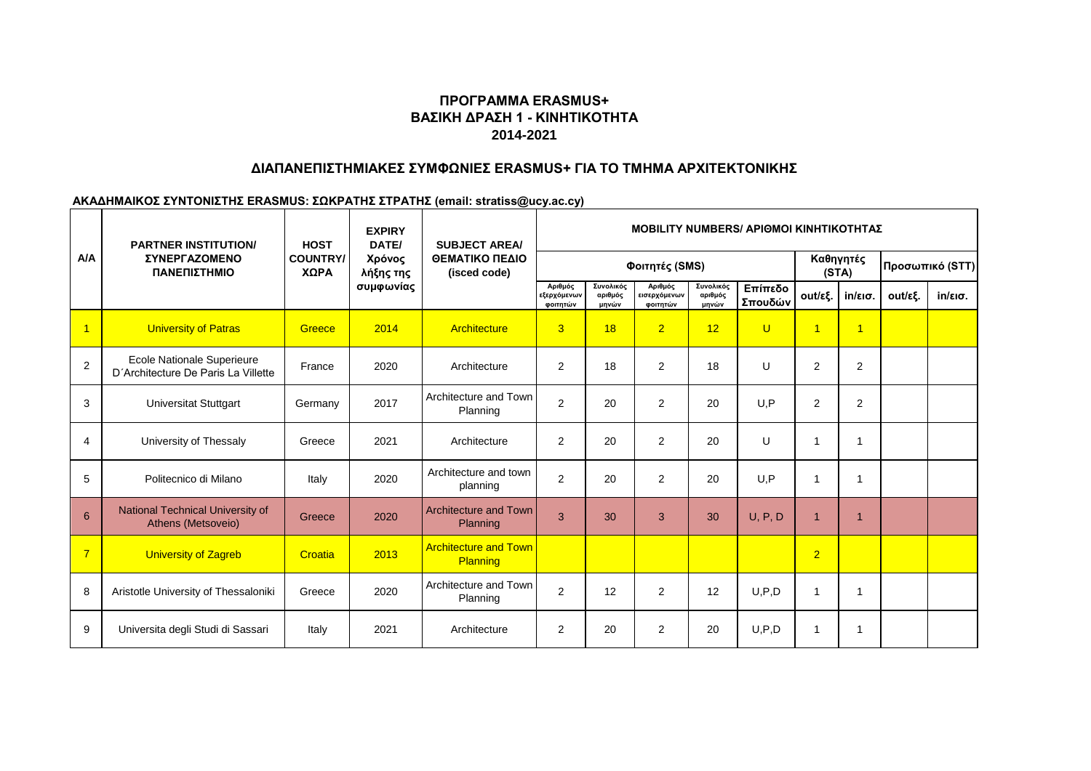# **ΠΡΟΓΡΑΜΜΑ ERASMUS+ ΒΑΣΙΚΗ ΔΡΑΣΗ 1 - ΚΙΝΗΤΙΚΟΤΗΤΑ 2014-2021**

### **ΔΙΑΠΑΝΕΠΙΣΤΗΜΙΑΚΕΣ ΣΥΜΦΩΝΙΕΣ ERASMUS+ ΓΙΑ ΤΟ ΤΜΗΜΑ ΑΡΧΙΤΕΚΤΟΝΙΚΗΣ**

#### **ΑΚΑΔΗΜΑΙΚΟΣ ΣΥΝΤΟΝΙΣΤΗΣ ERASMUS: ΣΩΚΡΑΤΗΣ ΣΤΡΑΤΗΣ (email: stratiss@ucy.ac.cy)**

| A/A            | <b>PARTNER INSTITUTION/</b><br><b>ΣΥΝΕΡΓΑΖΟΜΕΝΟ</b><br>ΠΑΝΕΠΙΣΤΗΜΙΟ | <b>HOST</b><br><b>COUNTRY/</b><br>ΧΩΡΑ | <b>EXPIRY</b><br>DATE/<br>Χρόνος<br>λήξης της<br>συμφωνίας | <b>SUBJECT AREA/</b><br>ΘΕΜΑΤΙΚΟ ΠΕΔΙΟ<br>(isced code) | MOBILITY NUMBERS/ ΑΡΙΘΜΟΙ ΚΙΝΗΤΙΚΟΤΗΤΑΣ |                               |                                     |                               |                    |                    |                   |                 |                   |
|----------------|---------------------------------------------------------------------|----------------------------------------|------------------------------------------------------------|--------------------------------------------------------|-----------------------------------------|-------------------------------|-------------------------------------|-------------------------------|--------------------|--------------------|-------------------|-----------------|-------------------|
|                |                                                                     |                                        |                                                            |                                                        | Φοιτητές (SMS)                          |                               |                                     |                               |                    | Καθηγητές<br>(STA) |                   | Προσωπικό (STT) |                   |
|                |                                                                     |                                        |                                                            |                                                        | Αριθμός<br>εξερχόμενων<br>φοιτητών      | Συνολικός<br>αριθμός<br>μηνών | Αριθμός<br>εισερχόμενων<br>φοιτητών | Συνολικός<br>αριθμός<br>μηνών | Επίπεδο<br>Σπουδών | out/εξ.            | $in/\epsilon$ ισ. | out/εξ.         | $in/\epsilon$ ισ. |
| $\overline{1}$ | <b>University of Patras</b>                                         | Greece                                 | 2014                                                       | Architecture                                           | 3                                       | 18                            | $\overline{2}$                      | 12                            | $\overline{U}$     | $\overline{1}$     | $\overline{1}$    |                 |                   |
| $\overline{c}$ | Ecole Nationale Superieure<br>D'Architecture De Paris La Villette   | France                                 | 2020                                                       | Architecture                                           | $\mathbf{2}$                            | 18                            | 2                                   | 18                            | U                  | 2                  | 2                 |                 |                   |
| 3              | <b>Universitat Stuttgart</b>                                        | Germany                                | 2017                                                       | Architecture and Town<br>Planning                      | $\overline{c}$                          | 20                            | $\overline{2}$                      | 20                            | U.P                | $\overline{2}$     | 2                 |                 |                   |
| 4              | University of Thessaly                                              | Greece                                 | 2021                                                       | Architecture                                           | $\mathbf{2}$                            | 20                            | $\overline{2}$                      | 20                            | $\cup$             | 1                  |                   |                 |                   |
| 5              | Politecnico di Milano                                               | Italy                                  | 2020                                                       | Architecture and town<br>planning                      | $\overline{2}$                          | 20                            | $\overline{2}$                      | 20                            | U, P               | 1                  |                   |                 |                   |
| 6              | National Technical University of<br>Athens (Metsoveio)              | Greece                                 | 2020                                                       | <b>Architecture and Town</b><br>Planning               | 3                                       | 30                            | 3                                   | 30                            | U, P, D            | 1                  |                   |                 |                   |
| $\overline{7}$ | <b>University of Zagreb</b>                                         | Croatia                                | 2013                                                       | <b>Architecture and Town</b><br>Planning               |                                         |                               |                                     |                               |                    | $\overline{2}$     |                   |                 |                   |
| 8              | Aristotle University of Thessaloniki                                | Greece                                 | 2020                                                       | Architecture and Town<br>Planning                      | $\overline{c}$                          | 12                            | 2                                   | 12                            | U, P, D            | 1                  |                   |                 |                   |
| 9              | Universita degli Studi di Sassari                                   | Italy                                  | 2021                                                       | Architecture                                           | $\overline{c}$                          | 20                            | 2                                   | 20                            | U, P, D            |                    |                   |                 |                   |